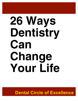# **26 Ways Dentistry Can Change Your Life**

**Dental Circle of Excellence**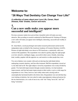## **Welcome to:**

## **"26 Ways That Dentistry Can Change Your Life!"**

*A collection of news about your Love Life, Career, Heart Disease, Kids' Grades, Cancer and more.*

## **1. Can a new smile make you appear more successful and intelligent***?*

Previous consumer studies have proved that a beautiful smile will make you more attractive. But according to research conducted by Beall Research & Training of Chicago, a new smile will make you appear more intelligent, interesting, successful and wealthy to others as well.

Dr. Anne Beall, a social psychologist and market research professional carried out the independent study on behalf of the American Academy of Cosmetic Dentistry (AACD). Pictures of eight individuals were shown to 528 Americans, a statistically valid cross section of the population. The respondents were asked to quickly judge the eight people as to how attractive, intelligent, happy, successful in their career, friendly, interesting, kind, wealthy, popular with the opposite sex, and sensitive to other people they were.

Two sets of photos were created, with each set showing four individuals before undergoing cosmetic dentistry, and four after treatment. Half the respondents viewed set A, the other half set B. The eight subjects viewed by respondents were evenly divided by gender. Two had mild improvements through cosmetic dentistry, two had moderate improvements, and four had major improvements to their smiles, to give a wide range for respondents to view. None, however, had visibly rotten teeth, missing teeth or catastrophically bad dental health in the before shots. Respondents were not told that they were looking at dentistry, but were asked to make snap judgments rating each person for the ten characteristics, on a scale of one to ten, with "one" being "not at all," and "ten" being "extremely."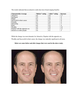| <b>Characteristic Average</b> | "Before" rating  | "After" rating   | <b>Increase</b> |
|-------------------------------|------------------|------------------|-----------------|
| Attractive                    | 4.6              | $\overline{5.9}$ | 1.3             |
| Intelligent                   | 5.9              | 6.5              | .6              |
| Happy                         | $\overline{6.2}$ | 6.8              | $.4\phantom{0}$ |
| Successful in their career    | 5.8              | 6.7              | 9.              |
| Friendly                      | 6.3              | 6.8              |                 |
| Interesting                   | 5.4              | 6.1              |                 |
| Kind                          | 6.0              | 6.4              | .4              |
| Wealthy                       | 4.9              | $\overline{5.9}$ | 1.0             |
| Popular with the opposite sex | $\overline{5.0}$ | 6.2              | 1.2             |
| Sensitive to other people     | $\overline{5.6}$ | 6.1              |                 |

The results indicated that an attractive smile does have broad ranging benefits:

While the change was most dramatic for Attractive, Popular with the opposite sex, Wealthy and Successful in their career, the change was statically significant in all areas.

## **Below are some before and after images that were used in the above study.**

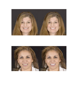

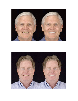

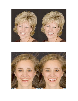

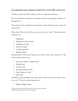#### **In an independent study conducted on behalf of the AACD in 2004, we discovered:**

Virtually all Americans (99.7%) believe a smile is an important social asset.

96% of adults believe an attractive smile makes a person more appealing to members of the opposite sex.

Three-quarters (74%) of adults feels an unattractive smile can hurt a person's chances for career success.

When asked, *"What is the first thing you notice in a person's smile?"* The most common responses were:

- Straightness
- Whiteness & Color of Teeth
- Cleanliness of Teeth
- Sincerity of Smile
- Any Missing Teeth?
- Sparkle of Smile

And when asked, *"What types of things do you consider make a smile unattractive?"* The most common responses were:

- Discolored, Yellow, or Stained Teeth
- Missing Teeth
- Crooked Teeth
- Decaying Teeth & Cavities
- Gaps & Spaces in Teeth
- Dirty Teeth

And finally, when respondents were asked, *"What would you most like to improve about your smile?"* The most common response was:

• Whiter & Brighter Teeth

*All stats are based upon a 2004 scientific poll of the American public. ©2008 American Academy of Cosmetic Dentistry*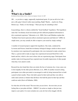## **2. What's in a Smile?**

*By Kimberly Read & Marcia Purse, About.com Updated: October 24, 2007*

OK ... so you have a sappy, supposedly inspirational quote. It's just an old wives' tale - just a silly quip. It doesn't really mean anything. Right? Maybe ... maybe not. Doug Horton says, "Smile, it's free therapy." There just may be something to this!

In psychology, there is a theory entitled the "facial feedback" hypothesis. This hypothesis states that "involuntary facial movements provide sufficient peripheral information to drive emotional experience" (Bernstein, et al., 2000). Davis and Palladino explain that "feedback from facial expression affects emotional expression and behavior" (2000). In simple terms, you may actually be able to improve your mood by simply smiling!

A number of research projects support this hypothesis. One study, conducted by Levenson and Friesen, found that involuntary biological changes similar to those caused by emotions were experienced by participants who were instructed to make certain faces. That is, a person told to make an angry face experienced increased blood flow to the hands and feet, which is also seen in those who are experiencing anger. Participants from another study involving posed faces reported more favorable impressions of other people when they were asked to smile.

Research has also found that when you mimic the face of someone else, it may cause you to feel empathy for the other person (Berstein, et al., 2000). In another research setting, participants were either prevented or encouraged to smile by being instructed how to hold a pencil in their mouths. Those who held a pencil in their teeth and thus were able to smile rated cartoons as funnier than did those who held the pencil in their lips and thus could not smile (Davis & Palladino, 2000).

So what does all of this mean? The next time you are down - the next time you are feeling blue or just plain old blah -- SMILE!! An action as simple as that just may improve your spirits. It is most certainly not a cure-all, but in the struggle with the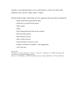gloomies, every thing that helps in even a small measure is worth a try! Dame Sybil Hathaway sums it up best, "Smile, damn it !! Smile."

Having trouble forcing a smile? Here are a few suggestions that may help liven things up!

- jump on the bed (my personal favorite)
- make faces at yourself in the mirror
- bake cookies
- dance
- find a playground and swing on the swingset
- find your baby pictures
- hug someone you love
- take a walk in the rain
- watch cartoons you loved as a kid
- imitate a well-known comedian with exaggeration
- visit a pet store

*Works Cited*

*Bernstein, D. A., Clarke-Stewart, A., Penner, L. A., Roy, E. J., & Wickens, C. D. (2000). Psychology (5th ed.). Boston, MA: Houghton Mifflin Company. Davis, S. F., & Palladino, J. J. (2000). Psychology (3rd ed.). Upper Saddle River, NJ: Prentice-Hall, Inc.*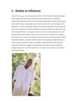## **3. Smiles to Influence**

Almost 70 years ago, in his landmark book "How to Win Friends and Influence People," Dale Carnegie talks about the all important need of humans to have meaningful relationships with others and how good social interrelationships can lead to much success in life and in business. Interestingly, in his book he devoted the very first chapter to the importance of a smile, it being the "big secret of dealing with people." In this chapter, he spoke of the importance of using the smile to create good, positive first impressions and cited Charles Schwab as an example. Schwab was known for his influential smile, and through empirical observation, became well aware of its power. But was this empirical observation true to science? In a study done by the University of Oxford and the Virginia Polytechnic Institute, conducted with the intention of assessing the method humans use most to identify cooperative partners, researchers studied the effect of the smile; the results of the study lent "support to the prediction that smiles can elicit cooperation amongst strangers in a one-short interaction." In simple words, a smile can win friends and influence people.

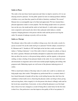#### **Smiles to Please**

The smile is the most basic facial expression and when we deprive ourselves of it we are denying ourselves pleasure. Yet the public spends far more on makeup products (billions of dollars every year) than they spend in all fields of dentistry combined. The reason? Humans have an unstoppable urge to be liked and appreciated. We have learned that a pleasant appearance makes us more popular. The first things people notice on a person's face are the eyes, the mouth and the smile (or lack thereof). A smile makes us appear more cooperative and research also shows that a pleasant smile induces a similar response, bringing pleasure to the person with the smile and the person receiving the smile. No amount of makeup or jewelry will ever do that.

#### **Smile as a Therapy**

The ultimate value of the smile is its ability to bring us joy, but is the smile a result of a joyous occasion? Or can the smile itself give us pleasure? On this subject, research by J. K. Hietanen and V. Surakka in 1997 shed light on the fact that a smile can actually induce a "feeling of pleasure," even if the smile is that of a stranger in a photo, as long as the smile is genuine. Hietanen and Surakka attempted to explain the neural mechanism that can allow the receiver, or the person being smiled at, and the signaler, or the person smiling, to share a feeling of true pleasure thanks to the smile. It is no wonder that most advertisements in magazines and on television include people laughing and smiling with gorgeous teeth. Marketing experts are well aware of the pleasure-inducing power of smiles.

With so much hard evidence of the deep value of a smile, how could we as dentists not help people enjoy their smiles? Throughout my professional life as a cosmetic dentist, I have heard thousands of people tell me they avoid smiling because they don't have the confidence in their teeth to do so. Knowing the pleasure smiles can bring to those giving and receiving them, what a tragedy it is for the person who doesn't willingly smile and for the loved ones around them. Conversely, we have all had the pleasure to see first hand those whose lives have changed as a result of being able to smile freely for the first time in their lives. Our profession is one that improves the quality of life of our patients. It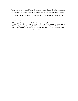brings happiness to others. It brings pleasure and positive therapy. It makes people more influential and makes it easier for them to have friends. Can anyone find a better way to spend their resources and their lives than in giving the gift of a smile to their patients?

#### *By J. Luis Ruiz, DDS*

*Bibliography\_1. Carnegie, A., How to Win Friends and Influence People. Simon & Schuster\_2. Scharlemann. P. W., Eckel, C. C., 2001 The Value Of A Smile: Game Theory With A Human Face. Journal of Economic Psychology.\_3. Dumas, G., 1948. The smile; Psychology And Physiology.75006 Paris, France: Presse Unirsitaires de France. 127pp.\_4. Hietanen, J. K., Surakka, V., 1997. Facial expressions are contagious. International Journal of Psychophysiology.*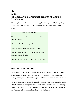## **4. Smile! The Remarkable Personal Benefits of Smiling by SixWise.com**

There may be more to the song "Put on a Happy Face" than just a catchy tune-putting on a happy face is actually good for you, and those around you. Now there's a reason to smile.



#### **Smile Your Way to a Better Future**

Researchers of a study led by Dr. Dacher Keltner of the University of California were able to predict the future success (30 years down the road!) of 21-year-old women just by looking at their photographs. The key appeared to be the intensity of the women's smiles.

"Women who displayed more positive emotion were more likely to be married by 27, less likely to have remained single into middle adulthood and more likely to have satisfying marriages 30 years later. This means we can take photos at a wedding and from them we may be able to tell how the marriage will go," said Dr. Keltner.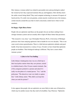How intense a woman smiled was related to personality tests and psychologists ranked the women by how they expressed emotions like joy and happiness. How did they know the smiles weren't being faked? They used computer technology to measure 44 aspects of facial activity. If a smile were not genuine, certain muscles would not move (for instance, certain muscles around the eyes that we don't consciously control move when we feel emotion).

#### **Be Happy: Fight Illness Better**

People who are optimistic (and these are the people who are out there smiling!) have stronger immune systems and are actually able to fight off illness better than pessimists.

"The research is very clear," says Christopher Peterson, Ph.D, a University of Michigan professor who's been studying optimism's link to health for over two decades, "This is not some social science generalization. There is a link between optimistic attitudes and good health. It has been measured in a variety of ways. Overall, we have found that optimistic people are healthier. Their biological makeup is different. They have a more robust immune system."

#### **A Joke to Get You Smiling**

Little Johnny's kindergarten class was on a field trip to their local police station where they saw pictures, tacked to a bulletin board, of the 10 most-wanted criminals. One of the youngsters pointed to a picture and asked if it really was the photo of a wanted person. "Yes," said the policeman. "The detectives want very badly to capture him." Little Johnny asked, "Why didn't you keep him when you took his picture?"

It also appears that people who are optimistic are more likely to take care of themselves, which may be another reason why they tend to be healthier. Says Peterson, "Optimistic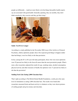people act differently ... [and] are more likely to do the things that public health experts say are associated with good health. Generally speaking, they eat sensibly, they don't drink senselessly, they exercise and they get their sleep."



#### **Smile: You'll Live Longer**

According to a study published in the November 2004 issue of the Archives of General Psychiatry, elderly optimistic people, those who expected good things to happen (rather than bad things), were less likely to die than pessimists.

In fact, among the 65- to 85-year-old study participants, those who were most optimistic were 55 percent less likely to die from all causes than the most pessimistic people. What's more, after researchers adjusted the results for age, smoking status, alcohol consumption, physical activity and other measures of health, the optimists were 71 percent less likely to die than the pessimists!

#### **Smiling Feels Like Eating 2,000 Chocolate Bars**

That's right-according to The British Dental Health Foundation, a smile gives the same level of stimulation as eating 2,000 chocolate bars. The results were found after researchers measured brain and heart activity in volunteers as they were shown pictures of smiling people and given money and chocolate.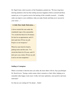Dr. Nigel Carter, chief executive of the Foundation, pointed out, "We have long been drawing attention to the fact that smiling increases happiness both in yourself and those around you, so it is good to receive the backing of this scientific research ... A healthy smile can improve your confidence, help you make friends and help you to succeed in your career ... "

#### **A Little More Smile Motivation ...**

A driver tucked this note under the windshield wiper of his automobile: "I've circled the block for 20 minutes. I'm late for an appointment, and if I don't park here I'll lose my job. Forgive us our trespasses."

When he came back he found a parking ticket and this note: "I've circled the block for 20 years, and if I don't give you a ticket, I'll lose my job. Lead us not into temptation."

#### **Smiling is Contagious**

What's even better is that the more you smile, the more others will too. Says psychologist Dr. David Lewis, "Seeing a smile creates what is termed as a 'halo' effect, helping us to remember other happy events more vividly, feel more optimistic, more positive and more motivated."

So what are you waiting for? Go ahead ... Smile!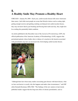# **5. A Healthy Smile May Promote a Healthy Heart**

CHICAGO—January 08, 2008—Each year, cardiovascular disease kills more Americans than cancer. And while most people are aware that lifestyle choices such as eating right, getting enough exercise and quitting smoking can help prevent cardiovascular disease, they may not know that by just brushing and flossing their teeth each day, they might also be avoiding this potentially lethal condition.

An article published in the December issue of the *Journal of Periodontology (JOP)*, the official publication of the American Academy of Periodontology (AAP), suggests that periodontal patients whose bodies show evidence of a reaction to the bacteria associated with periodontitis may have an increased risk of developing cardiovascular disease.



"Although there have been many studies associating gum disease with heart disease, what we have not known is exactly why this happens and under what circumstances," said JOP editor Kenneth Kornman, DDS, PhD. "The findings of this new analysis of previously published studies suggest that the long-term effect of chronic periodontitis, such as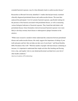extended bacterial exposure, may be what ultimately leads to cardiovascular disease."

Researchers at Howard University identified 11 studies that had previously examined clinically-diagnosed periodontal disease and cardiovascular disease. The team then analyzed the participants' level of systemic bacterial exposure, specifically looking for the presence of the bacteria associated with periodontal disease, as well as measuring various biological indicators of bacterial exposure. They found that individuals with periodontal disease whose biomarkers showed increased bacterial exposure were more likely to develop coronary heart disease or atherogenesis (plaque formation in the arteries).

"While more research is needed to better understand the connection between periodontal disease and cardiovascular disease, this study suggests the importance of taking of your teeth and gums and how that can help you take care of your heart," said Susan Karabin, DDS, President of the AAP. "With the number of people with heart disease continuing to increase, it is important to understand that simple activities like brushing and flossing twice a day, and regular visits to your dental professional can help lower your risk of other health conditions."

*American Academy of Periodontology*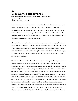## **6. Your Way to a Healthy Smile**

**Good oral hygiene may help the whole body, experts believe** *By Sarah Baldauf* Posted February 14, 2008

Derita Malcom had a recent revelation—one profound enough that her two adolescent kids hear about it every night. "I preach: 'Take care of your teeth,'" she explains. Removing her upper denture before bed, Malcom, 49, tells her kids, "Look at mama's teeth" and the damage caused by gum disease. "I had such a fear of the dentist that I really neglected my mouth," says the elementary school secretary from Chesterfield, Va. The consequences are not limited to her mouth.

Malcom's diabetes may have been harder to manage because of her long neglect of oral health. Before she underwent a series of dental procedures last year, Malcom's A1c level, which reflects blood sugar control, was far above the safe range. Now, since she has a new dedication to home care and is nearing the end of her dental work, Malcom's sugars are closer to normal. "I didn't make the connection that it could improve my diabetes," she says. She's not alone.

Three in four American adults have at least mild periodontal (gum) disease, or gingivitis. More severe disease, or chronic periodontitis, may affect as many as 30 percent. Regardless of severity, gum problems can be quite stealthy; pain is minimal and bleeding or reddened gums may be the only sign. Yet disregarding oral health could have serious overall repercussions. Recent research suggests that uncorrected gum issues make blood sugar more difficult for diabetics to control. Diabetes, in turn, can cause or worsen gum disease. "It's a two-way street," says Susan Karabin, president of the American Academy of Periodontology. The underlying mechanisms are not fully understood, but gum disease involves chronic inflammation—which can trigger insulin resistance, a hallmark of diabetes—and also bacterial infection. "Periodontal disease creates the wound that allows [oral bacteria] to gain access to the rest of the body," explains Steven Offenbacher, director of the Center for Oral & Systemic Diseases at the University of North Carolina.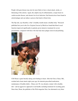People with gum disease may also be more likely to have a heart attack, stroke, or thickening of the arteries. Again, the culprits may be inflammation, a major factor in cardiovascular disease, and chronic low-level infection. Oral bacteria have been found in arterial plaque and can induce a process that leads to blood clots.

The flip side, says Karabin, is that "a healthy mouth means a healthy body." Research published last year in the *New England Journal of Medicine* found that blood vessel function improved significantly in patients given intensive treatment for severe periodontitis, compared with those who had only basic plaque removal and polishing.



Cliff Sloan is quite literally taking such findings to heart. After the Chevy Chase, Md., resident had a heart attack eight years ago, his internist prescribed medication, maintenance of healthy habits—Sloan, now 50, was already a runner with a healthy diet—and an aggressive approach to oral health, including treatment for receding gums. Since then, Sloan, the publisher of the Web magazine *Slate,* has alternated every three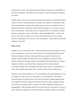months between visits to his regular dentist and intensive cleanings by a periodontist, or gum disease specialist. "The stakes are just too high" to ignore the apparent connection, says Sloan.

Chronic disease is not the only state that warrants extra attention to oral health. Infection control is critical to surgical patients, for example, and a dentist's or periodontist's signoff is not infrequently required before patients proceed to the or, especially for heart or orthopedic procedures. Hormonal and developmental changes, too, can boost a person's risk of oral problems. Adolescents often have gingivitis due to a combination of raging hormones, orthodontia, and lax oral hygiene. Add an unhealthful habit—a study in the *Journal of the American Medical Association* this month found an increase in gum disease in young adults who were heavy users of marijuana—and the odds of oral health problems worsen still.

#### **Those at risk.**

Getting on in years also ups the ante. A shift in hormones puts post-menopausal women at risk of osteoporosis, which may raise the chances of developing periodontal disease. Entering menopause with pre-existing gum disease may speed the destruction of jawbone, making implants and other repairs more challenging. Old age may bring arthritis and lessened dexterity with floss and toothbrush. But losing teeth is no longer a foregone conclusion, says Richard Price, spokesman for the American Dental Association, though visits to the dentist most likely need to increase. Transportation an issue? "Some dentists make house calls," he adds. Contact the local dental society.

Pregnancy may introduce pitfalls, too. "If you're thinking of becoming pregnant or if you *are* pregnant, be sure you have no oral infection," says Offenbacher. About half of expectant mothers develop gingivitis, due in part to hormones, making frequent dental visits important. Research suggests that having gum disease makes a pregnant woman several times more likely to deliver a preterm, low-birth-weight baby. High levels of prostaglandins, a labor-inducing chemical associated with severe gum disease, may be to blame. Insurance companies like Aetna and Cigna have begun covering extra cleanings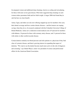for pregnant women and additional deep cleanings, known as scaling and root planing, for those with more severe gum disease. Pilot trials suggested deep cleanings in such women reduce premature birth and low birth weight. A larger 2006 trial found they're safe but have no clear benefit.

Aetna, Cigna, and others are also now offering stepped-up care for members who carry their dental coverage and have certain chronic diseases—and the insurers are reaping savings when they do so. In research conducted with the Columbia University College of Dental Medicine, Aetna saw a reduction in total medical costs of 9 percent for members with diabetes, 16 percent for those with coronary artery disease, and 11 percent for those with stroke or other cerebrovascular disease.

Certain dentists routinely test blood pressure and refer patients to a physician if they find clues of systemic disease, and there's growing interest in expanding that aspect of dentistry. "We want to see the dentist become much more active in the role of diagnosis and screening," says Daniel Meyer, senior vice president of science and professional affairs for the American Dental Association.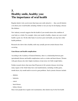## **7. Healthy smile, healthy you: The importance of oral health**

Regular dentist visits can do more than keep your smile attractive — they can tell dentists a lot about your overall health, including whether or not you may be developing a disease like diabetes.

New industry research suggests that the health of your mouth mirrors the condition of your body as a whole. For example, when your mouth is healthy, chances are your overall health is good, too. On the other hand, if you have poor oral health, you may have other health problems.

Research also shows that a healthy smile may actually prevent certain diseases from occurring.

#### **Gum disease and health complications**

According to the Academy of General Dentistry, there is a relationship between gum (periodontal) disease and health complications such as a stroke and heart disease. Women with gum disease also show higher incidences of pre-term, low birth-weight babies.

Further research shows that more than 90 percent of all systemic diseases (involving many organs or the whole body) have oral manifestations, including swollen gums, mouth ulcers, dry mouth and/or excessive gum problems. Such systemic diseases include:

- . diabetes
- . leukemia
- . cancer
- . heart disease
- . kidney disease

Since most people have regular oral examinations, their dentist may be the first health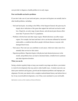care provider to diagnose a health problem in its early stages.

#### **Poor oral health can lead to problems**

If you don't take care of your teeth and gums, your poor oral hygiene can actually lead to other health problems, including:

- . Oral and facial pain. According to the Office of the Surgeon General, this pain may be largely due to infections of the gums that support the teeth and can lead to tooth loss. Gingivitis, an early stage of gum disease, and advanced gum disease affect more than 75 percent of the U.S. population.
- . Problems with the heart and other major organs. Mouth infections can affect major organs. For example, the heart and heart valves can become inflamed by bacterial endocarditis, a condition that affects people with heart disease or anyone with damaged heart tissue.
- . Oral cancer. Poor oral care can contribute to oral cancer, which now takes more lives annually than cervical or skin cancer.
- . Digestion problems. Digestion begins with physical and chemical processes in the mouth, and problems here can lead to intestinal failure, irritable bowel syndrome and other digestion disorders.

#### **What you can do**

Seeing a dentist regularly helps to keep your mouth in top shape and allows your dentist to watch for developments that may point to other health issues. A dental exam also can detect poor nutrition and hygiene, growth and development problems and improper jaw alignment. Provide your dentist with a complete medical/dental history and inform him or her of any recent health developments, even if they seem unrelated to your oral health.

*Information courtesy of the Academy of General Dentistry*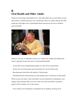# **8. Oral Health and Older Adults**

People are living longer and healthier lives. And, older adults also are more likely to keep their teeth for a lifetime than they were a decade ago. However, studies indicate that older people have the highest rates of periodontal disease and need to do more to maintain good oral health.



Whatever your age, it's important to keep your mouth clean, healthy and feeling good. And it's important to know the state of your periodontal health.

- . At least half of non-institutionalized people over age 55 have periodontitis.
- . Almost one out of four people age 65 and older have lost all of their teeth.
- . Receding gum tissue affects the majority of older people.
- . Periodontal disease and tooth decay are the leading causes of tooth loss in older adults. What you may not realize is that oral health is not just important for maintaining a nicelooking smile and being able to eat corn on the cob. Good oral health is essential to quality of life. Consider a few of the reasons:
- . Every tooth in your mouth plays an important role in speaking, chewing and in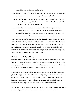maintaining proper alignment of other teeth.

- . A major cause of failure in joint replacements is infection, which can travel to the site of the replacement from the mouth in people with periodontal disease.
- . People with dentures or loose and missing teeth often have restricted diets since biting into fresh fruits and vegetables is often not only difficult, but also painful. This likely means they don't get proper nutrition.
- . Most men and women age 65 and older report that a smile is very important to a person's appearance. LI>And, maybe most importantly, recent research has advanced the idea that periodontal disease is linked to a number of major health concerns such as heart disease, stroke, respiratory disease and diabetes.

While your likelihood of developing periodontal disease increases with age, the good news is that research suggests that these higher rates may be related to risk factors other than age. So, periodontal disease is not an inevitable aspect of aging. Risk factors that may make older people more susceptible include general health status, diminished immune status, medications, depression, worsening memory, diminished salivary flow, functional impairments and change in financial status.

#### **Medications and Oral Side Effects**

Older adults are likely to take medications that can impact oral health and affect dental treatment. Hundreds of common medications - including antihistamines, diuretics, pain killers, high blood pressure medications and antidepressants - can cause side effects such as dry mouth, soft tissue changes, taste changes, and gingival overgrowth.

Dry mouth leaves the mouth without enough saliva to wash away food and neutralize plaque, leaving you more susceptible to tooth decay and periodontal disease. In addition, dry mouth can cause sore throat, problems with speaking, difficulty swallowing and hoarseness. Your dentist or periodontist can recommend various methods to restore moisture, including sugarless gum, oral rinses or artificial saliva products.

Be sure to tell your periodontist and other dental professionals about any medications that you are taking, including herbal remedies and over-the-counter medications.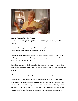

#### **Special Concerns for Older Women**

Women who are menopausal or post-menopausal may experience changes in their mouths.

Recent studies suggest that estrogen deficiency could place post-menopausal women at higher risk for severe periodontal disease and tooth loss.

In addition, hormonal changes in older women may result in discomfort in the mouth, including dry mouth, pain and burning sensations in the gum tissue and altered taste, especially salty, peppery or sour.

In addition, menopausal gingivostomatitis affects a small percentage of women. Gums that look dry or shiny, bleed easily and range from abnormally pale to deep red mark this condition.

Most women find that estrogen supplements help to relieve these symptoms.

Bone loss is associated with both periodontal disease and osteoporosis. Osteoporosis could lead to tooth loss because the density of the bone that supports the teeth may be decreased. More research is being done to determine if and how a relationship between osteoporosis and periodontal disease exists. Women considering Hormone Replacement Therapy (HRT) to help fight osteoporosis should note that this may help protect their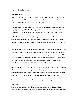teeth as well as other parts of the body.

#### **Dental Implants**

More and more older people are selecting dental implants over dentures as a replacement option for lost teeth. Whether you have lost one or all of your teeth, dental implants allow you to have teeth that look and feel just like your own.

Older adults have similar success rate with implants compared with younger people. As long as you're in good health and your periodontist can restore healthy gums and adequate bone to support the implant, you're never too old to receive a dental implant.

A dental implant is an artificial tooth root placed into your jaw to hold a replacement tooth or bridge in place. While high-tech in nature, dental implants are actually more tooth-saving than traditional bridgework, since implants do not rely on neighboring teeth for support.

In addition, dental implants are intimately connected with the gum tissues and underlying bone in the mouth. Therefore, they prevent the bone loss and gum recession that often accompanies bridgework and dentures and preserve the integrity of facial features. When teeth are missing, the bone which previously supported these teeth begins to deteriorate. This can result in dramatic changes in your appearance, such as increased wrinkles around the mouth and lips that cave in and lose their natural shape.

Since periodontists are the dental experts who specialize in precisely these areas, they are ideal members of your dental implant team. Not only do periodontists have experience working with other dental professionals, they also have the special knowledge, training and facilities that you need to have teeth that look and feel just like your own.

Talk with your periodontist to find out if dental implants are an option for you.

#### **Denture Care**

Denture wearers need to avoid plaque buildup that can irritate the tissues under the dentures. Thoroughly clean dentures daily and remove dentures at night to avoid bacteria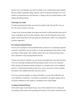growth. If you wear dentures, you need to continue to see a dental professional regularly. Because mouths continually change, dentures need to be checked for proper fit to avoid irritation, increased bone loss and infections. A change in the fit of partial dentures could indicate periodontal disease.

#### **Perfecting Your Smile**

Cosmetic periodontal procedures are not just for people in their 20s and 30s. You can have the smile you desire at any age.

A study by the American Dental Association and Oral-B in 1998 found that nearly half of survey respondents age 65 and older selected a smile as the first thing they notice about people. Almost 80 percent in this age group also reported that a smile is very important to a person's appearance.

#### **Preventing Periodontal Disease**

Even if you've managed to avoid periodontal disease until now, it is especially important to practice a meticulous oral care routine as you age. Receding gum tissue affects a large percentage of older people. This condition exposes the roots of teeth and makes them more vulnerable to decay and periodontal infection.

To keep your teeth for a lifetime, you must remove the plaque from your teeth and gums every day with proper brushing and flossing. Regular dental visits are also important. Daily cleaning will help keep calculus formation to a minimum, but it won't completely prevent it. A professional cleaning at least twice a year is necessary to remove calculus from places your toothbrush and floss may have missed.

If you have dexterity problems or a physical disability, you may find it difficult to use your toothbrush or dental floss. Your dentist or periodontist can suggest options such as an electric toothbrush or floss holder or a toothbrush with a larger handle.

#### **Treating Periodontal Disease**

In the earlier stages of periodontal disease, most of the treatment involves scaling and root planing, which means removing plaque and calculus in the pockets around the tooth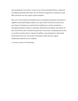and smoothing the root surfaces. In most cases of early periodontal disease, scaling and root planing and proper daily home care are all that are required for a satisfactory result. More advanced cases may require surgical treatment.

Once you've been treated for periodontal disease, periodontal maintenance procedures or supportive periodontal therapy enables you to gain control of the disease and increase your chances of keeping your natural teeth. In additional to a dental examination, a thorough periodontal evaluation is performed. Harmful bacterial plaque and calculus are then removed from above and below the gum line. If necessary, root planing may be used to smooth root surfaces that are infected. In addition, your periodontist or other dental professional will review your at-home oral hygiene routine and may suggest modifications tailored for your condition.

© American Academy of Periodontology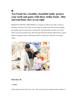## **9. Ten Foods for a healthy, beautiful smile: protect your teeth and gums with these stellar foods - Diet and nutrition: how to eat right**

BELIEVE IT OR NOT, THE FOODS you consume can affect your smile as much as brushing or flossing. Every time you eat sugary or starchy foods, the bacteria in plaque get another chance to form decay-causing acid. And bad breath can make you want to hide even the most pristine teeth. But choosing foods that naturally fight bacteria, remove plaque, strengthen enamel, and freshen breath is a good way to preserve your pearly whites.



### **Pick these 10.**

#### **1. Celery**

Celery protects your teeth in two ways. The extra chewing it requires produces plenty of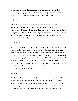saliva, which neutralizes the bacteria Streptococcus mutans that causes cavities. Additionally, chomping on naturally abrasive foods massages gums and cleans between teeth. Try This: Snack on a handful of raw celery or carrots once a day.

#### **2. Cheese**

Studies from the last decade show that cheese, with its low carbohydrate and high calcium and phosphate content, provides several benefits for your teeth. It helps balance your mouth's pH (an acidic pH encourages the growth of cavity-causing bacteria). Cheese also preserves and rebuilds tooth enamel and produces saliva, which kills the bacteria that cause cavities and gum disease. Try This: Enjoy a 1-inch cube (about 1/2 ounce) of cheese after dinner instead of a sweet dessert.

#### **3. Green Tea**

Green tea (Camellia sinensis) contains substances called catechins that kill the bacteria in your mouth that turn sugar into plaque (a sticky mass of bacteria, sugars, proteins, and fats that produces cavity-causing acid when it comes in contact with sugary or starchy foods). Catechins also wipe out the bacteria that cause bad breath. Try This: Drink 2 to 5 cups of green tea (regular or decaffeinated) a day, says Mindy Green, director of research at the Herb Research Foundation in Boulder, Colo. Consider making a thermos of green tea to drink at work. The night before, steep 3 to 4 green tea bags in 4 cups of boiling-hot water in a covered thermos for three to five minutes. Remove the bags. Serve the tea the next day over ice or after reheating it.

#### **4. Kiwis**

For their size, kiwis pack more vitamin C than any other fruit. In fact, one large kiwi supplies more than 100 percent of your recommended daily amount. If you don't get enough vitamin C, research shows that the collagen network in your gums can break down, making your gums tender and more susceptible to the bacteria that cause periodontal disease. Try This: Instead of topping your morning oatmeal with brown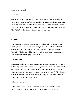sugar, use a sliced kiwi.

#### **5. Onions**

Onions contain powerful antibacterial sulfur compounds. In a 1997 test tube study, onions killed various types of bacteria, including S. mutans. Research indicates that they are most powerful when eaten freshly peeled and raw. Of course, raw onions can do a number on your breath, so be sure to have some fresh parsley on hand (see below). Try This: Add a few onion slices to salads and sandwiches each day.

#### **6. Parsley**

Chewing parsley or mint leaves after a pungent meal will help you maintain sweetsmelling breath. These herbs contain monoterpenes, volatile substances that travel quickly from your bloodstream to your lungs, where their odor is released via your breath. Try This: Top zesty dishes with a few tablespoons of minced fresh parsley or garnish dessert with a few sprigs of fresh mint.

#### **7. Sesame Seeds**

According to fossils, our Paleolithic ancestors had great teeth. Anthropologists suggest that this is partly due to the cleansing action of primitive foods like seeds, which slough off plaque and help build tooth enamel. Sesame seeds, for example, are also high in calcium, which helps preserve the bone around your teeth and gums. Try This: Sprinkle a tablespoon of sesame seeds on salads and steamed vegetables a few times a week for a gentle teeth cleaning and 87 mg of calcium.

#### **8. Shiitake Mushrooms**

A 2000 study in Caries Research showed that lentinan, a sugar found in shiitake mushrooms, prevents mouth bacteria from creating plaque. Try This: A few times a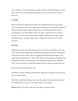week, add four to five sliced shiitakes to soups or stir-fries. Buy fresh shiitakes or dried ones, which can be reconstituted by soaking them in hot water for about 25 minutes before use.

#### **9. Wasabi**

Otherwise known as Japanese horse-radish, this condiment not only provides zing to sushi, it also protects your teeth. A 2000 study in Biofactors revealed that the substances that make wasabi taste hot, called isothiocyanates, also inhibit the growth of cavitycausing bacteria. Try This: Eating wasabi a few times a week will protect you from cavities. For a smile-saving salad dressing, combine 3 tablespoons rice wine vinegar, 1 tablespoon honey, 1 teaspoon wasabi paste, 1 teaspoon soy sauce, and 1/2 teaspoon sesame oil.

#### **10. Water**

Drinking water keeps your gums hydrated and is the best way to stimulate saliva--your body's greatest defense against the bacteria that cause plaque and cavities. Rinsing your mouth with water also helps wash away trapped food particles that decompose in the mouth and cause bad breath. Try This: Aim to drink six 8-ounce glasses of purified water throughout each day to keep your gums (and whole body) hydrated and to stimulate saliva. If you can't brush your teeth after eating, be sure to rinse your mouth with water.

Save Your Smile with These Easy Tips

In addition to regular brushing, following these suggestions can greatly increase the life of your teeth and gums.

Watch Out for Minimeals. Eating small meals throughout the day can help you control your weight. But every time you eat, bacteria grow in your mouth.

**The Fix:** Brush your teeth or rinse with water after each meal or snack.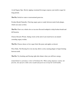Avoid Sugary Sips. Slowly sipping sweetened beverages exposes your teeth to sugar for long periods.

The Fix: Switch to water or unsweetened green tea.

Freshen Breath Naturally. Chewing sugary gum or candy between meals feeds plaque, which can cause cavities.

**The Fix:** Chew on a whole clove or tea-tree-flavored toothpick to help freshen breath and kill bacteria.

Choose Desserts Wisely. Eating sweets at the end of your meal leaves an enamelcorroding sugary residue.

**The Fix:** Choose cheese or low-sugar fruits like pears and apples as dessert.

Floss Daily. Not flossing for even one day allows cavity-causing plaque to begin forming between teeth.

**The Fix:** Try brushing and flossing right after dinner when you still have energy,

*Linda Knittel is a freelance writer in Portland, Ore. When eating Japanese cuisine, her favorite, she opts for a little extra wasabi and green tea to keep her teeth healthy.*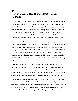## **11. How are Dental Health and Heart Disease Related?**

It's sometimes difficult to tell, but research beginning in the 2000s suggests that you see your dentist to find out. Several different studies conducted by cardiologists, and by periodontists (specialists in gum disease) now suggest that there are several connections between dental health and heart disease. People with gum disease, with false teeth, or with deteriorating teeth are all much more likely to have heart disease. These are correlative studies, not cause and effect studies, but further research in this area may suggest that keeping your mouth healthy is one of the keys to having a healthy heart.

One study on dental health and heart disease connects the high risk of gum disease in patients who require heart transplants. In an Australian study, 77% of a group of over 80 patients requiring heart transplant had periodontal disease. This was compared to a group not requiring transplant and with healthy hearts where only 13% had periodontal disease. This study may be slightly flawed since only 80 people requiring transplants were compared to a much larger group of people not requiring them, over 900 people. Still, combined with other studies, these findings suggest dental health and heart disease may be related.

What many similar studies reveal is that people who suffered heart attacks, who need transplants, or who need heart surgery are much more likely to have dental problems. Chief among these was periodontal or gum disease, which means a large amount of bacteria are present in the mouth. In this case, you can't get by with brushing or flossing, since gums can bleed and thus be open to receiving bacteria into the blood stream.

It is theorized that one of the connections between dental health and heart disease is what the blood stream does with bacteria from the mouth. It may end up lining the walls of your arteries, causing atherosclerosis and artery blockage, or alternately, certain forms of strep bacteria can cause vegetative matter to grow in the valves of your heart, called *bacterial endocarditis*. Prevention of gum disease is important, and this means flossing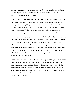regularly, and getting two teeth cleanings a year. If you have gum disease, you should check with your doctor or dentist about antibiotic mouthwashes that can help remove bacteria from your mouth prior to flossing.

Another connection between dental health and heart disease is the theory that tooth loss may actually change the diet and cause poorer cardiovascular health. Either due to missing teeth, or poorly fitting dentures, people may not eat a diet as high in fiber. Softer foods may mean more fatty foods, and a significantly unbalanced diet, which increases risk of heart disease. It's thus important to get properly fitting replacement teeth or crowns as needed so you can consume recommended amounts of dietary fiber.

Dental health and heart disease have an even more firmly established connection that has long been known. People who have had surgeries, especially surgeries that used artificial valves, conduits or stents absolutely need antibiotic treatment prior to receiving any type of dental treatment, even a teeth cleaning. It is always important to talk to your dentist about heart conditions or surgeries you've had, and to ask your cardiologist if you need what are called prophylactic antibiotics prior to seeing the dentist. This large single dose of antibiotics taken an hour prior to dental work does prevent the greater risk of developing bacterial endocarditis.

Further, treatment for certain forms of heart disease may exacerbate gum disease. Certain medications like calcium channel blockers or ACE inhibitors may come in chewable form and many contain sugar. Heart disease medications may create a snowball effect that actually worsens the very diseases they are supposed to treat by causing greater dental problems. This issue might be addressed by taking pills you can swallow rather than chew so that teeth are unaffected by medications.

*Written by Tricia Ellis-Christensen*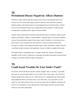# **12. Periodontal Disease Negatively Affects Diabetes**

Numerous studies indicate that the presence and severity of periodontal disease can increase the risk of poor blood sugar control in diabetics. One study that compared diabetic patients with minimal and severe periodontal disease found that those with the more severe periodontal disease had a significantly greater number of cardiovascular complications, including stroke, angina, and heart failure.

Another study found that the treatment of periodontal disease in diabetics might actually improve the diabetics' ability to control diabetes. Although there are no known definitive reasons why periodontitis impacts blood sugar control in diabetics, a few theories have been created. Acute bacterial and viral infections control an increase in the body's resistance to insulin, which aggravates blood sugar control. In diabetics, further infection exacerbates insulin resistance and significant worsens its ability to regular blood sugar.

Periodontal disease and diabetes have a complex interaction. Anyone with diabetes, regardless of the severity, should have a thorough oral health examination. If gum disease is found, every effort should be made to eliminate it.

## **13. Could Social Troubles Be Your Smile's Fault?**

If you have front teeth that are stained, cracked, chipped, dark, or missing, it's possible that some of your personal troubles are your smile's fault. Your smile is one of the first features people notice about you. It is either attractive or repellant because other people make judgments about you based on how your smile looks. Are your teeth even and white? Is your smile inviting? Does it say you are open, full of confidence and high selfesteem? It's amazing how many characteristics other people read into your personality based on your smile's appearance.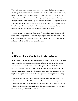Your smile is one of the first nonverbal cues you give to people. You may notice that other people treat you a certain way right when they meet you, often without even talking to you. You may have also heard the phrase that "When you smile, the whole world smiles back at you." If you're ashamed of how your teeth look, if you're embarrassed about your smile, if you're covering up your mouth with your hand when you speak, other people may read these nonverbal signals in a negative way. They may think you have a low self-esteem, that you have little confidence, that you're not capable of a more important job, or of sustaining a deep and lasting personal relationship.

Of all the features you can change about yourself, your smile is one of the easiest and fastest to fix. Once you make a decision to improve your smile, once you find the right dentist who is trained in cosmetic dentistry, you can begin your journey toward having a smile that can lead your life toward personal success.

## **14. A Whiter Smile Can Bring in More Green**

Tooth whitening can help most people look better, up to 95 percent of them. It's not mere vanity that makes people seek cosmetic dentistry. Smiles are among the first features anyone, including a job interviewer, notices about you. Within the first 30 seconds, a prospective employer may make a first impression based on your smile regarding your openness, friendliness, honesty, intelligence, and social status. The easiest and fastest way to improve your smile, assuming it is healthy already, is through tooth whitening.

According to the American Dental Association, the number of people bleaching their teeth has increased more than 300 percent in the last four years. Generally, you can whiten your teeth using one of three methods: in-office bleaching, at-home bleaching, or whitening toothpaste. In-office bleaching has the most dramatic results with your teeth becoming up to eight shades whiter in about an hour.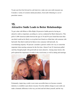To put your best foot forward in a job interview, make sure your smile measures up. Consider a variety of cosmetic dental procedures, from teeth whitening to a set of porcelain veneers.

## **15. Attractive Smile Leads to Better Relationships**

To get a date with Mister or Miss Right, 84 percent of adults perceive having an attractive smile as important, according to a survey conducted by Harris Interactive. This poll of 1,000 American adults between the ages of 18 and 50 years found that more than one-third would not be likely to set up their best friend on a blind date with someone with bad teeth. One-third would not be likely to kiss someone with bad teeth. An overwhelming majority--85 percent--considers a person's smile to be very or somewhat important when meeting someone for the first time. Almost 9 out 10 Americans polled said they thought people with good teeth are more attractive. Among many factors, this poll explored the importance of smiles in the social arena, as well as dating and marriage.



Fortunately, improving a smile is now more accessible than ever because cosmetic dentistry is available to just about everyone. Even the subtlest change in your smile can make a dramatic difference in the way you look and feel about yourself, and the way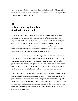others perceive you. Talk to your cosmetic dentist and ask about white fillings, teeth whitening, dental bonding, dental crowns and dental veneers. Then sit back in your chair and wait for your new life to begin.

## **16. When Changing Your Image, Start With Your Smile**

According to studies by social psychologists, most people spend about 30 seconds appraising you before they begin to form a laundry list of impressions about you. Impressions formed in the first 30 seconds might include: your educational level; your career competence and success; your personality; your level of sophistication; your trustworthiness; your sense of humor; and your social heritage. For better or worse, this means that appearances count in today's world, according to Susan Bixler's book *The Professional Image*, published by Adams Media Corporation.

When meeting someone for the first time, the way you look is even more important than what you say. Sociolinguist Albert Mehrabian found in his comprehensive research on communication that 7 percent of a verbal message comes from the words used; 38 percent comes from the vocal tone, pacing, and inflection; and 55 percent is transmitted by the speaker's appearance and body language. Your smile is one of the first features people notice about you in the business world, as well as in personal encounters.

A new smile can make you look better and younger, boost your self-confidence and selfesteem, as well as increase your communication ability, your sex appeal, and impact on your personal and professional relationships. And getting that smile isn't as complicated as you might imagine. Many people can have a dramatic change in their smile with just a few visits to the dentist. So many options are available today that there is no reason why you need to suffer the injustice of a poor job or a failed relationship just because you don't have an attractive smile.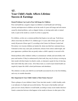## **17. Your Child's Smile Affects Lifetime Success & Earnings**

#### **Dental Problems Can Lead to Poor Self-Image for Children**

Poor oral health has a negative impact on children's overall health and well being. Anxiety and depression in children can be the result of a poor self-image and self-esteem caused by dental problems, such as chipped, broken, or missing teeth, dark or stained teeth, or pain in the mouth as a result of cavities or gingivitis.

For children, cavities are a common problem that begins at an early age. Tooth decay affects more than one-fifth of U.S. children ages 2-4 years, half of those ages 6-8, and nearly 60 percent of those aged 15, according to the Centers for Disease Control and Prevention. Low-income children are hardest hit: about one-third have untreated decay. Untreated cavities may cause pain, dysfunction, absence from school, underweight, and poor appearance--problems that can greatly reduce a child's capacity to succeed in life.

Dental problems affect children's ability to communicate verbally and nonverbally with peers and teachers. If they're embarrassed by their teeth, they may be always covering up their mouth with their hands, be afraid to smile, or reluctant to speak for fear of showing their teeth while they talk in class. All of these traits as a result of poor dental health can negatively impact the child's school performance and attendance.

The solution is to take your child for an oral health assessment by his or her first birthday, and every six months thereafter.

#### **How Important Is Your Child's Smile to Their Future Success?**

Want a glimpse of your children's future? Gaze into their mouth. A child's healthy smile is an indicator of a bright and successful destiny. The reason is that healthy teeth and gums are now closely linked to overall health, according to many recent studies that have found a connection between what happens in the mouth to diseases in other parts of the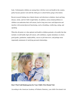body. Unfortunately children are among those with the worst oral health in the country, partly because parents wait until the child goes to school before going to the dentist.

Recent research findings have linked chronic oral infections to diabetes, heart and lung disease, stroke, and low-birth weight babies. In addition, serious dental problems in children can undermine their self-esteem, lead to long-term stress and depression and interfere with normal physical functioning, such as breathing, swallowing, eating, and speaking.

What this all points to is that optimal oral health in children portends a favorable fate that includes overall health, high self-esteem, self-confidence, regular attendance at school, good grades, graduation, employability, success at job interviews, and perhaps more importantly attainment of satisfying personal relationships.



**Don't Wait Until Kindergarten for Your Child's First Dental Visit**

According to the American Academy of Pediatric Dentistry, your child's first dental visit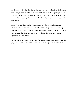should occur by his or her first birthday. In many cases your dentist will not find anything wrong, but parents shouldn't consider this a "wasted" visit. It is the beginning of instilling a lifetime of good dental care, which many studies have proven lead to high self-esteem, more confidence, good grades, better overall health, and success in career and personal relationships.

About 37 percent of children have not seen a dentist before entering kindergarten, according to the Centers for Disease Control. Although many Americans mistakenly assume that oral disease has been eradicated, nearly one-third of U.S. children have little or no access to dental care and suffer from oral diseases that compromise health, appearance, and self-esteem.

Most dental problems are preventable, but if not treated, they escalate, leading to cavities, gingivitis, and missing teeth. These in turn affect a wide range of social relationships.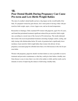## **18. Poor Dental Health During Pregnancy Can Cause Pre-term and Low-Birth-Weight Babies**

The state of a mother's dental health can have a big impact on the overall health of her baby. If a pregnant woman has gum disease, she is more prone to having a baby with preterm/low-birth weight, sepsis, a lower Apgar score, and an elevated temperature.

Researchers in Santiago, Chile examined 870 women with gingivitis, aged 18 to 42 years, and found that periodontal treatment significant reduced the pre-term/low-birth weight rate, according to a recent issue of the *Journal of Periodontology*. The results indicated that women who received periodontal treatment consisting of plaque control, scaling, and daily rinsing with chlorhexidine before 28 weeks of gestation had a significantly lower incidence of pre-term/low-birth weight babies than women who did not. In fact, pregnancy-associated gingivitis afforded more than a two-fold increase in the risk for preterm births.

Women with pregnancy gingivitis should visit their dentist as soon as possible to receive treatment and preventive maintenance so that they could give their babies a healthy start. Gum disease is easy to treat, there is no risk to the mother or child, and the results can be dramatic in terms of improving the chances of delivering a healthy baby.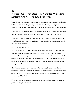## **19. It Turns Out That Over-The-Counter Whitening Systems Are Not Too Good For You**

When all your friends tromped to their dentists to have their teeth whitened, you thought that absurd. Not for wanting blinding smiles, but for bothering to—and paying for—dental appointments, handmade bleaching trays...well, that's what drugstores are for.

Right there on Aisle 8 sit zillions of *Advanced Tooth Whitening Systems!* Each one more *Advanced!* than the other. Oscar-winning smiles from the comfort of your couch.

But experts at The University of Texas Dental Branch at Houston are siding with your wiser friends. In short: until you've talked to your dentist, don't try this at home. It could save your teeth—or your life.

#### **Bite the Bullet–Call Your Dentist**

Joe C. Ontiveros, D.D.S., M.S., director of esthetic dentistry at the UT Dental Branch, lent credence to the controversy and concerns dentists are now having about over-thecounter (OTC) whitening products and their possible connection to oral cancers and other serious oral diseases. The concern about these products stems from peroxide's known capability of producing free radicals, which have been implicated in various biological consequences, Ontiveros said.

"The foremost reason to see your dentist before bleaching is to have an oral exam performed. The dentist can determine the cause of discolored teeth, screen for periodontal disease, check for decay, assess the condition of existing restorations and identify any exposed roots," he added.

If you have tooth or gum sensitivity, your tooth roots might be exposed from receding gums. Bleaching can make it worse.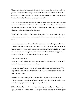The concentration of certain chemicals in tooth whiteners can also vary from product to product, causing potential damage and susceptibility to cancers and disease. Individuals can be protected from overexposure to these chemicals by a dentist who can monitor the levels and adjust the whitening procedure appropriately.

Kathy O'Keefe, D.D.S., M.S., clinical associate professor at the Dental Branch, who also works in private practice in Houston , acknowledges that one of the possible dangers to the at-home systems are the one-size-fits-all bleaching trays that simply cannot keep the bleaching product from leaking into the mouth.

"At a dental office, an impression is made of the patients' teeth first, so when the tray is made, it wraps around the teeth and therefore the bleach stays in the concentrated area," she says.

Another reason to make that appointment is that some people will not get that blinding white smile no matter what product they use—particularly those with tetracycline stains that run through the entire tooth. In those cases, porcelain veneers, crafted by an esthetic dentist are used. And those patients with veneers cannot use OTC bleaching products because the chemicals will change the surface of the veneer.

#### Addicted to Whiter White

Researchers also have found that consumers often can't resist the desire for whiter teeth, leading to abuse of over-the-counter products.

O'Keefe says her office has a built-in system that helps to prevent such behavior. "We only sell two boxes of bleach at a time," O'Keefe says. "This way we can monitor how much the patient uses."

Jessica Neff, a senior manager in development for a large over-the-counter tooth whitening company, says she went through a period where she tried products that were painful, damaging, inconvenient or just simply ineffective.

Neff admits that she was a "victim" of the whitening craze that boomed about five years ago. Addicted to "whiter than white," Neff says "I was constantly going from one system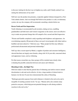to the next, looking for the best way to brighten my smile, until I finally realized I was ruining the substructures of my teeth."

Neff now uses the product she promotes, a topically-applied whitener designed by a New York esthetic dentist. And even though Neff believes her product is a safe, revolutionary system, she says the company still recommends consulting a dentist before use.

#### **Brown Teeth and First Impressions**

Tooth whitening is recommended by job recruiters, dating services, meddling grandmothers and both men's and women's magazines as the easiest, most cost-effective way to make one personal change that will catapult a first, second and third impression.

"Procter and Gamble completed a study regarding tooth brightness and appearance. An overwhelming majority (90 percent) of these surveyed viewed people with whiter teeth as healthier and more attractive," Ontiveros says. "Many people feel this may influence professional advancement and personal relationships."

Neff says that a recent report by Mintel, a supplier of product and consumer intelligence, showed that there are largely more females, along with 18-24 year olds, concerned about oral appearance issues, such as whitening.

For that reason, researchers say, these groups will be watched more closely when evaluating the possible connection between oral cancer and whiteners.

#### **Bleaching is Safe... the Right Way**

Ontiveros makes it clear that the general idea of whitening your teeth to remove natural discoloration is safe and can be effective. In fact, a large number of clinical trials in humans over the last 10 years have demonstrated the safety of bleaching.

"Hydrogen peroxide exposure from tooth whiteners is limited to the oral cavity and is incapable of reaching systemic levels," he says. "Human saliva also contains many protective enzymes, which help prevent potential damage to cells during oxidative reactions in the oral cavity."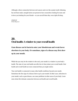Although a direct connection between oral cancers and over-the-counter tooth whitening has not been made, enough factors are present to have researchers looking for more and to have you looking for your friends—so you can tell them they were right all along.

*STORY BY Erika Hargrove*

## **20. Oral health:Awindow to your overall health**

**Gum disease can let bacteria enter your bloodstream and wreak havoc elsewhere in your body. Or sometimes, signs of a disease may first show up in your mouth.**

While the eyes may be the window to the soul, your mouth is a window to your body's health. The state of your oral health can offer lots of clues about your overall health. Oral health and overall health are more connected than you might realize.

Your oral health is connected to many other health conditions beyond your mouth. Sometimes the first sign of a disease shows up in your mouth. In other cases, infections in your mouth, such as gum disease, can cause problems in other areas of your body. Learn more about this intimate connection between oral health and overall health.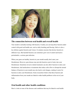

## **The connection between oral health and overall health**

Your mouth is normally teeming with bacteria. Usually you can keep these bacteria under control with good oral health care, such as daily brushing and flossing. Saliva is also a key defense against bacteria and viruses. It contains enzymes that destroy bacteria in different ways. But harmful bacteria can sometimes grow out of control and lead to periodontitis, a serious gum infection.

When your gums are healthy, bacteria in your mouth usually don't enter your bloodstream. However, gum disease may provide bacteria a port of entry into your bloodstream. Sometimes invasive dental treatments can also allow bacteria to enter your bloodstream. And medications or treatments that reduce saliva flow or disrupt the normal balance of bacteria in your mouth may also lead to oral changes, making it easier for bacteria to enter your bloodstream. Some researchers believe that these bacteria and inflammation from your mouth are linked to other health problems in the rest of your body.

## **Oral health and other health conditions**

Here's a look at some of the diseases and conditions that may be linked to oral health: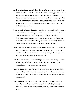- . **Cardiovascular disease.** Research shows that several types of cardiovascular disease may be linked to oral health. These include heart disease, clogged arteries, stroke and bacterial endocarditis. Some researchers believe that bacteria from gum disease can enter your bloodstream and travel through your arteries to your heart, affecting your cardiovascular system. Although periodontal disease seems to be associated with heart disease, more studies are needed before the link can be confirmed with certainty.
- . **Pregnancy and birth.** Gum disease has been linked to premature birth. Some research has shown that disease-causing organisms in a pregnant woman's mouth can wind up in the placenta or amniotic fluid, possibly causing premature birth. Unfortunately, treating periodontal disease during pregnancy may be too late, because the infection may have already spread in the woman's body. This is why it's vital to maintain excellent oral health before you get pregnant.
- . **Diabetes.** Diabetes increases your risk of gum disease, cavities, tooth loss, dry mouth, and a variety of oral infections. Conversely, poor oral health can make your diabetes more difficult to control. Infections may cause your blood sugar to rise and require more insulin to keep it under control.
- . **HIV/AIDS.** In some cases, one of the first signs of AIDS may appear in your mouth, with severe gum infection. You may also develop persistent white spots or unusual lesions on your tongue or in your mouth.
- . **Osteoporosis.** The first stages of bone loss may show up in your teeth. Your dentist may be able to spot this on routine dental X-rays. If bone loss worsens from year to year, your dentist can suggest that you discuss the issue with your other health care providers.
- . **Other conditions.** Many other conditions may make their presence known in your mouth before you know anything's wrong. These may include Sjogren's syndrome, certain cancers, eating disorders, syphilis, gonorrhea and substance abuse.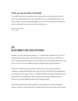## **What you can do about oral health**

If you didn't already have enough reasons to take good care of your mouth, teeth and gums, the relationship between your oral health and your overall health provides even more. Resolve to practice good oral hygiene every day. You're making an investment in your overall health, not just for now, but for the future, too.

*By Mayo Clinic Staff Feb. 7, 2007*

## **21. BAD BREATH (HALITOSIS)**

Whether you call it bad breath or halitosis, it's an unpleasant condition that's cause for embarrassment. Some people with bad breath aren't even aware there's a problem. If you're concerned about bad breath, see your dentist. He or she can help identify the cause and, if it's due to an oral condition, develop a treatment plan to help eliminate it.

What you eat affects the air you exhale. Certain foods, such as garlic and onions, contribute to objectionable breath odor. Once the food is absorbed into the bloodstream, it is transferred to the lungs, where it is expelled. Brushing, flossing and mouthwash will only mask the odor temporarily. Odors continue until the body eliminates the food. Dieters may develop unpleasant breath from infrequent eating.

If you don't brush and floss daily, particles of food remain in the mouth, collecting bacteria, which can cause bad breath. Food that collects between the teeth, on the tongue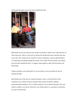and around the gums can rot, leaving an unpleasant odor.



Bad breath can also be caused by dry mouth (xerostomia), which occurs when the flow of saliva decreases. Saliva is necessary to cleanse the mouth and remove particles that may cause odor. Dry mouth may be caused by various medications, salivary gland problems or continuously breathing through the mouth. If you suffer from dry mouth, your dentist may prescribe anartificial saliva, or suggest using sugarless candy and increasing your fluid intake.

Tobacco products cause bad breath. If you use tobacco, ask your dentist for tips on kicking the habit.

Bad breath may be the sign of a medical disorder, such as a local infection in the respiratory tract, chronic sinusitis, postnasal drip, chronic bronchitis, diabetes, gastrointestinal disturbance, liver or kidney ailment. If your dentist determines that your mouth is healthy, you may be referred to your family doctor or a specialist to determine the cause of bad breath.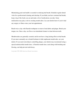Maintaining good oral health is essential to reducing bad breath. Schedule regular dental visits for a professional cleaning and checkup. If you think you have constant bad breath, keep a log of the foods you eat and make a list of medications you take. Some medications may play a role in creating mouth odors. Let your dentist know if you've had any surgery or illness since your last appointment.

Brush twice a day with fluoride toothpaste to remove food debris and plaque. Brush your tongue, too. Once a day, use floss or an interdental cleaner to clean between teeth.

Mouthwashes are generally cosmetic and do not have a long-lasting effect on bad breath. If you must constantly use a breath freshener to hide unpleasant mouth odor, see your dentist. If you need extra help in controlling plaque, your dentist may recommend using a special antimicrobial mouth rinse. A fluoride mouth rinse, used along with brushing and flossing, can help prevent tooth decay.

*Copyright 1995-2008 American Dental Association.*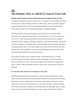## **22. The Dentist's Way to Add 8-12 Years to Your Life**

#### **Regular tooth cleanings with periodontal therapy just might prolong your life**,

according to the latest research by dental experts. As strange as it may sound, an infection in your gums can travel through your body to other organs, such as your heart, digestive system, and lungs. This is why it's more important than ever to go for regular dental check-ups and ensure that your periodontal health is constantly managed.

Periodontal disease and poor oral hygiene may be indicators of premature death, according to Dr. Michael F. Roizen in his classic book *Real Age: Are You as Young as You Can Be?* That's because gum disease has been linked to heart disease, diabetes, respiratory disease, digestive problems, osteoporosis, and immune problems. Young men who had a maximum oral hygiene index of 6 (0 indicating ideal oral hygiene and 6 poor oral hygiene) had a three to four times higher risk of dying sooner than those who had a hygiene index of 0. In addition, young men with periodontitis had a nearly three fold increased risk of dying from coronary heart disease.

The word *periodontal* means "around the tooth." Periodontal disease is a chronic bacterial infection that affects the gums and bone supporting the teeth. Periodontal disease can affect one tooth or many teeth. It begins when the bacteria in plaque (the sticky, colorless film that constantly forms on your teeth) causes the gums to become inflamed

#### **It's Not Just Your Teeth You're Saving--It's Your Life.**

Worldwide, periodontal disease may affect as many as three of four people, but only about 15 percent get treated. That spells trouble for the heart and other parts of the body. Gum disease creates a higher risk for heart disease, heart attacks and strokes. In one study, men with extensive gum disease were more than four times as likely to develop heart disease (the nation's leading cause of death) than men with healthy gums. Another study involving Arizona's Pima Indians, who rarely smoke, showed those with gum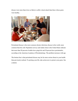disease were more than twice as likely to suffer a heart attack than those whose gums were healthy.



Periodontal disease is the most common chronic infectious disease in the world, more common than the cold. Population surveys and studies done in the United States indicate that more than 50 percent of adults have gingivitis and 30 percent have periodontitis, according to the American Academy of Periodontology. The problem increases with age.

The bottom line is that periodontal disease may be far more serious threat to your health than previously realized. To prolong your life, take action now to protect your gums. See a dentist.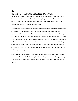# **23. Tooth Loss Affects Digestive Disorders**

Tooth loss is the result of an advanced state of periodontal disease, in which the gums become so infected they cannot hold the teeth any longer. When teeth fall out, it is more difficult to eat, and people without teeth--even those who wear dentures--are the most vulnerable to digestive and other related problems.

Research indicates that changes in food preferences and subsequent nutrient deficiencies are associated with tooth loss. Even those with dentures do not always obtain the necessary nutrients. One study of denture-wearers found that their chewing efficiency was about one-sixth that of a person with natural teeth. Poor chewing has been associated with a decrease in vitamin A and fiber intake and an increase in cholesterol, saturated fat and calories, ingredients that increase the risks of cancer and heart disease. This study concluded that most of the patients with dentures showed a low chewing performance classification. They also took more medication for gastrointestinal disorders than those with a higher chewing performance.

One way to prevent this escalation of problems is to have your teeth cleaned regularly. Periodontal therapy will eliminate any infections in the gums, which will help you keep your teeth for life. This, in turn, will help you eat better, look better, feel better, and live longer.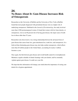## **24. No Bones About It: Gum Disease Increases Risk of Osteoporosis**

Researchers at the University of Buffalo and the University of New York at Buffalo found that most people diagnosed with periodontal disease were at a higher risk of underlying osteoporosis. Published in the *Journal of Periodontology*, the study involved more than 2,500 postmenopausal women. It found that women with low bone density, or osteoporosis, were at an 86 percent risk of having gum disease, the major cause of tooth loss in those older than 35 years.

Researchers also discovered a very strong relationship between the advanced form of gum disease that causes bone loss, gum-attachment loss, tooth loss, and osteoporosis. It is believed that eliminating gum disease may also help combat osteoporosis, which affects more than 20 million people in the United States, accounting for nearly 2 million fractures a year.

Once again, the link between gum disease and overall health cannot be overemphasized. Maintain a regular schedule of dental cleanings with your dentist, and be constantly vigilant against gum disease. It could save your life.

We hope that this information will change your mind about the importance of seeing your dentist for a hygiene appointment.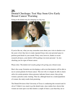## **25. Dental Checkups: Test May Soon Give Early Breast Cancer Warning**

Going to the dentist may be changing in a big way.



If you're like me, what you may remember most about your visits to dentists over the years is how they have to make repeated forays into your personal space to perform good deeds in your mouth. Pretty soon, however, thanks to recent research advances, your dentist will be getting even more personal - by also checking you for signs of breast cancer.

Please relax: The dentist isn't exactly going to be giving you a breast exam.

Here's the scoop: Scientists are developing a saliva test that dentists will be able to use to screen patients for breast cancer. This test will, it is hoped, be able to check saliva for certain proteins whose presence indicates breast cancer, thus giving women a priceless early warning. Thus far, although based on a small population of women, the study results look promising.

The Dental Division of the University of Texas is conducting this research and it's clever! I think it was smart to go the dental route, since studies have shown that women are more apt to see their dentist a couple of times a year than they are to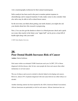visit a mammography technician for their annual mammogram.

Saliva analysis has been used in the past to monitor patient response to chemotherapy and to surgical treatment. It only makes sense to also consider what else saliva may be able to tell us about breast cancer.

So the next time you think about getting your teeth cleaned, you might also ask your dentist about how this research is progressing.

Now, if we can also get the dentists to throw in a blood pressure check and a quick eye exam, then maybe in the future your "upper half" can be given a clean bill of health right along with your teeth!

*© 2007 Johns Hopkins University.*

# **26. Poor Dental Health Increases Risk of Cancer**

**Author:** Sheila Guilloton

Oral cancer strikes an estimated 35,000 Americans each year. In 2007, 25% of those diagnosed with the disease, died. In fact, more people die from oral cancers then either melanomas or cervical cancer.

The use of tobacco and excessive alcohol is directly linked to developing oral cancers. However, almost 25% of patients diagnosed with oral cancel did not use either tobacco or alcohol.

Another alarming statistic has been reported by the ADA (American Dental Association). African Americans are particularly at risk for oral cancers. African Americans have an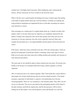incident rate 1/3rd higher than Caucasians. More frightening, after contracting the disease, African Americans are twice as likely to die from the cancer.

What is the best way to guard against developing oral cancer. Experts agree that getting in the habit of regular dental check-ups is the best defense. Certainly not smoking and using alcohol in moderation are important but just as with other screenings for cancers, early detection is critical.

Oral screenings are a routine part of a regular dental check-up. A dentist can find a flat, painless white or red spot which may be suspicious yet completely unnoticed by the patient. Testing of the suspicious cells can be done quickly and if they turn out to be cancerous or even pre-cancerous, the cells can be surgically removed. Done early enough, this procedure has a very high probability that the patient will not develop oral cancer.

PAP smears, which have been commonly used since 1955 and colonoscopies, which are quickly becoming part of normal preventative screenings, detect early signs of cancer. Both cervical cancer and colon cancer have falling incident and mortality rates because of early detection procedures.

The same type of care should be taken to detect and prevent oral cancer. Do not put your health at risk because of a mistaken belief that seeing a dentist regularly is not that important.

40% of Americans fail to see a dentist regularly. Why? Some think they cannot afford to take proper care of their mouth because they do not have dental insurance. True dental insurance, especially for individuals is expensive, but dental plans have become increasing popular. These are very inexpensive, non insurance plans. They offer a fee for service at a discount. The services provided by the participating dentist will be listed in the plan summary and both the regular price and the discount price will be shown. Joining one of these plans is easy and inexpensive and could literally save your life.